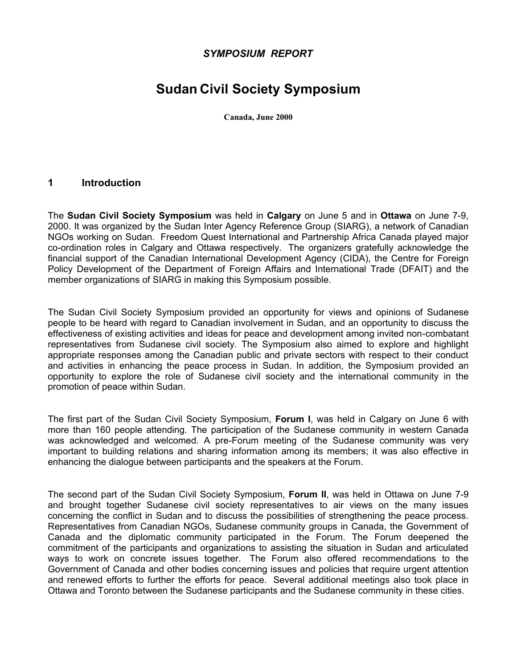## *SYMPOSIUM REPORT*

# **Sudan Civil Society Symposium**

**Canada, June 2000**

#### **1 Introduction**

The **Sudan Civil Society Symposium** was held in **Calgary** on June 5 and in **Ottawa** on June 7-9, 2000. It was organized by the Sudan Inter Agency Reference Group (SIARG), a network of Canadian NGOs working on Sudan. Freedom Quest International and Partnership Africa Canada played major co-ordination roles in Calgary and Ottawa respectively. The organizers gratefully acknowledge the financial support of the Canadian International Development Agency (CIDA), the Centre for Foreign Policy Development of the Department of Foreign Affairs and International Trade (DFAIT) and the member organizations of SIARG in making this Symposium possible.

The Sudan Civil Society Symposium provided an opportunity for views and opinions of Sudanese people to be heard with regard to Canadian involvement in Sudan, and an opportunity to discuss the effectiveness of existing activities and ideas for peace and development among invited non-combatant representatives from Sudanese civil society. The Symposium also aimed to explore and highlight appropriate responses among the Canadian public and private sectors with respect to their conduct and activities in enhancing the peace process in Sudan. In addition, the Symposium provided an opportunity to explore the role of Sudanese civil society and the international community in the promotion of peace within Sudan.

The first part of the Sudan Civil Society Symposium, **Forum I**, was held in Calgary on June 6 with more than 160 people attending. The participation of the Sudanese community in western Canada was acknowledged and welcomed. A pre-Forum meeting of the Sudanese community was very important to building relations and sharing information among its members; it was also effective in enhancing the dialogue between participants and the speakers at the Forum.

The second part of the Sudan Civil Society Symposium, **Forum II**, was held in Ottawa on June 7-9 and brought together Sudanese civil society representatives to air views on the many issues concerning the conflict in Sudan and to discuss the possibilities of strengthening the peace process. Representatives from Canadian NGOs, Sudanese community groups in Canada, the Government of Canada and the diplomatic community participated in the Forum. The Forum deepened the commitment of the participants and organizations to assisting the situation in Sudan and articulated ways to work on concrete issues together. The Forum also offered recommendations to the Government of Canada and other bodies concerning issues and policies that require urgent attention and renewed efforts to further the efforts for peace. Several additional meetings also took place in Ottawa and Toronto between the Sudanese participants and the Sudanese community in these cities.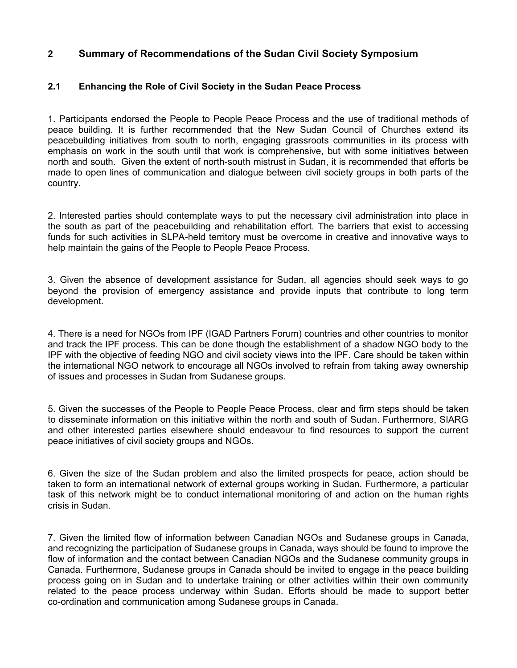## **2 Summary of Recommendations of the Sudan Civil Society Symposium**

#### **2.1 Enhancing the Role of Civil Society in the Sudan Peace Process**

1. Participants endorsed the People to People Peace Process and the use of traditional methods of peace building. It is further recommended that the New Sudan Council of Churches extend its peacebuilding initiatives from south to north, engaging grassroots communities in its process with emphasis on work in the south until that work is comprehensive, but with some initiatives between north and south. Given the extent of north-south mistrust in Sudan, it is recommended that efforts be made to open lines of communication and dialogue between civil society groups in both parts of the country.

2. Interested parties should contemplate ways to put the necessary civil administration into place in the south as part of the peacebuilding and rehabilitation effort. The barriers that exist to accessing funds for such activities in SLPA-held territory must be overcome in creative and innovative ways to help maintain the gains of the People to People Peace Process.

3. Given the absence of development assistance for Sudan, all agencies should seek ways to go beyond the provision of emergency assistance and provide inputs that contribute to long term development.

4. There is a need for NGOs from IPF (IGAD Partners Forum) countries and other countries to monitor and track the IPF process. This can be done though the establishment of a shadow NGO body to the IPF with the objective of feeding NGO and civil society views into the IPF. Care should be taken within the international NGO network to encourage all NGOs involved to refrain from taking away ownership of issues and processes in Sudan from Sudanese groups.

5. Given the successes of the People to People Peace Process, clear and firm steps should be taken to disseminate information on this initiative within the north and south of Sudan. Furthermore, SIARG and other interested parties elsewhere should endeavour to find resources to support the current peace initiatives of civil society groups and NGOs.

6. Given the size of the Sudan problem and also the limited prospects for peace, action should be taken to form an international network of external groups working in Sudan. Furthermore, a particular task of this network might be to conduct international monitoring of and action on the human rights crisis in Sudan.

7. Given the limited flow of information between Canadian NGOs and Sudanese groups in Canada, and recognizing the participation of Sudanese groups in Canada, ways should be found to improve the flow of information and the contact between Canadian NGOs and the Sudanese community groups in Canada. Furthermore, Sudanese groups in Canada should be invited to engage in the peace building process going on in Sudan and to undertake training or other activities within their own community related to the peace process underway within Sudan. Efforts should be made to support better co-ordination and communication among Sudanese groups in Canada.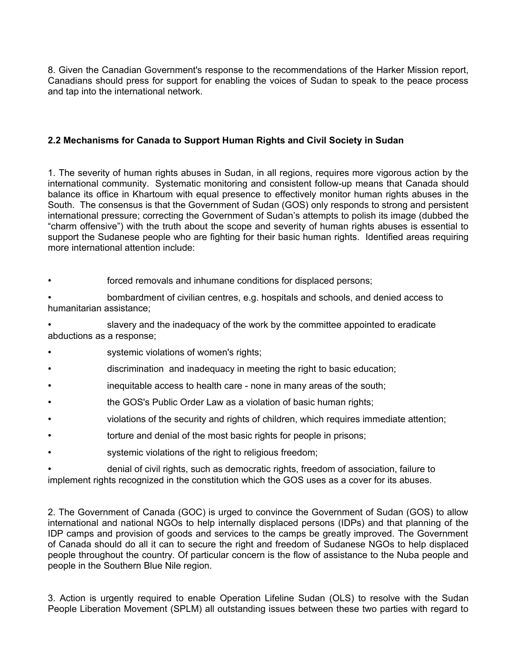8. Given the Canadian Government's response to the recommendations of the Harker Mission report, Canadians should press for support for enabling the voices of Sudan to speak to the peace process and tap into the international network.

#### **2.2 Mechanisms for Canada to Support Human Rights and Civil Society in Sudan**

1. The severity of human rights abuses in Sudan, in all regions, requires more vigorous action by the international community. Systematic monitoring and consistent follow-up means that Canada should balance its office in Khartoum with equal presence to effectively monitor human rights abuses in the South. The consensus is that the Government of Sudan (GOS) only responds to strong and persistent international pressure; correcting the Government of Sudan's attempts to polish its image (dubbed the "charm offensive") with the truth about the scope and severity of human rights abuses is essential to support the Sudanese people who are fighting for their basic human rights. Identified areas requiring more international attention include:

forced removals and inhumane conditions for displaced persons;

• bombardment of civilian centres, e.g. hospitals and schools, and denied access to humanitarian assistance;

• slavery and the inadequacy of the work by the committee appointed to eradicate abductions as a response;

- systemic violations of women's rights;
- discrimination and inadequacy in meeting the right to basic education;
- inequitable access to health care none in many areas of the south;
- the GOS's Public Order Law as a violation of basic human rights;
- violations of the security and rights of children, which requires immediate attention;
- torture and denial of the most basic rights for people in prisons;
- systemic violations of the right to religious freedom;

• denial of civil rights, such as democratic rights, freedom of association, failure to implement rights recognized in the constitution which the GOS uses as a cover for its abuses.

2. The Government of Canada (GOC) is urged to convince the Government of Sudan (GOS) to allow international and national NGOs to help internally displaced persons (IDPs) and that planning of the IDP camps and provision of goods and services to the camps be greatly improved. The Government of Canada should do all it can to secure the right and freedom of Sudanese NGOs to help displaced people throughout the country. Of particular concern is the flow of assistance to the Nuba people and people in the Southern Blue Nile region.

3. Action is urgently required to enable Operation Lifeline Sudan (OLS) to resolve with the Sudan People Liberation Movement (SPLM) all outstanding issues between these two parties with regard to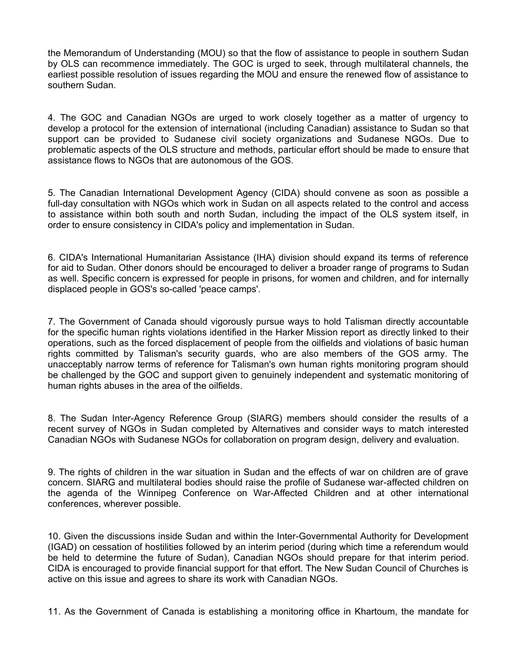the Memorandum of Understanding (MOU) so that the flow of assistance to people in southern Sudan by OLS can recommence immediately. The GOC is urged to seek, through multilateral channels, the earliest possible resolution of issues regarding the MOU and ensure the renewed flow of assistance to southern Sudan.

4. The GOC and Canadian NGOs are urged to work closely together as a matter of urgency to develop a protocol for the extension of international (including Canadian) assistance to Sudan so that support can be provided to Sudanese civil society organizations and Sudanese NGOs. Due to problematic aspects of the OLS structure and methods, particular effort should be made to ensure that assistance flows to NGOs that are autonomous of the GOS.

5. The Canadian International Development Agency (CIDA) should convene as soon as possible a full-day consultation with NGOs which work in Sudan on all aspects related to the control and access to assistance within both south and north Sudan, including the impact of the OLS system itself, in order to ensure consistency in CIDA's policy and implementation in Sudan.

6. CIDA's International Humanitarian Assistance (IHA) division should expand its terms of reference for aid to Sudan. Other donors should be encouraged to deliver a broader range of programs to Sudan as well. Specific concern is expressed for people in prisons, for women and children, and for internally displaced people in GOS's so-called 'peace camps'.

7. The Government of Canada should vigorously pursue ways to hold Talisman directly accountable for the specific human rights violations identified in the Harker Mission report as directly linked to their operations, such as the forced displacement of people from the oilfields and violations of basic human rights committed by Talisman's security guards, who are also members of the GOS army. The unacceptably narrow terms of reference for Talisman's own human rights monitoring program should be challenged by the GOC and support given to genuinely independent and systematic monitoring of human rights abuses in the area of the oilfields.

8. The Sudan Inter-Agency Reference Group (SIARG) members should consider the results of a recent survey of NGOs in Sudan completed by Alternatives and consider ways to match interested Canadian NGOs with Sudanese NGOs for collaboration on program design, delivery and evaluation.

9. The rights of children in the war situation in Sudan and the effects of war on children are of grave concern. SIARG and multilateral bodies should raise the profile of Sudanese war-affected children on the agenda of the Winnipeg Conference on War-Affected Children and at other international conferences, wherever possible.

10. Given the discussions inside Sudan and within the Inter-Governmental Authority for Development (IGAD) on cessation of hostilities followed by an interim period (during which time a referendum would be held to determine the future of Sudan), Canadian NGOs should prepare for that interim period. CIDA is encouraged to provide financial support for that effort. The New Sudan Council of Churches is active on this issue and agrees to share its work with Canadian NGOs.

11. As the Government of Canada is establishing a monitoring office in Khartoum, the mandate for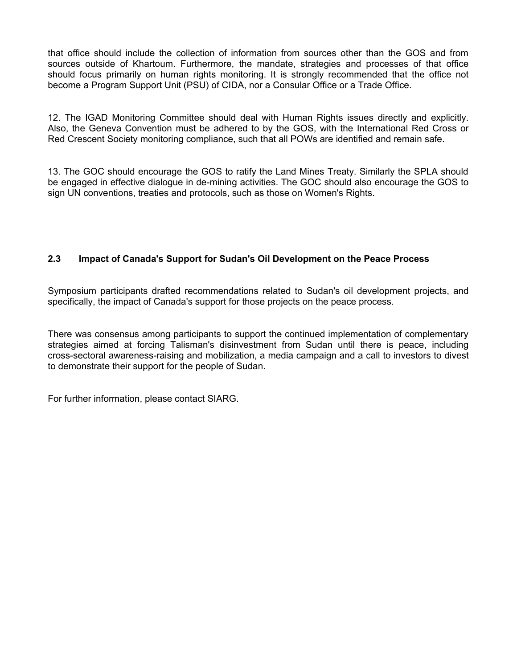that office should include the collection of information from sources other than the GOS and from sources outside of Khartoum. Furthermore, the mandate, strategies and processes of that office should focus primarily on human rights monitoring. It is strongly recommended that the office not become a Program Support Unit (PSU) of CIDA, nor a Consular Office or a Trade Office.

12. The IGAD Monitoring Committee should deal with Human Rights issues directly and explicitly. Also, the Geneva Convention must be adhered to by the GOS, with the International Red Cross or Red Crescent Society monitoring compliance, such that all POWs are identified and remain safe.

13. The GOC should encourage the GOS to ratify the Land Mines Treaty. Similarly the SPLA should be engaged in effective dialogue in de-mining activities. The GOC should also encourage the GOS to sign UN conventions, treaties and protocols, such as those on Women's Rights.

## **2.3 Impact of Canada's Support for Sudan's Oil Development on the Peace Process**

Symposium participants drafted recommendations related to Sudan's oil development projects, and specifically, the impact of Canada's support for those projects on the peace process.

There was consensus among participants to support the continued implementation of complementary strategies aimed at forcing Talisman's disinvestment from Sudan until there is peace, including cross-sectoral awareness-raising and mobilization, a media campaign and a call to investors to divest to demonstrate their support for the people of Sudan.

For further information, please contact SIARG.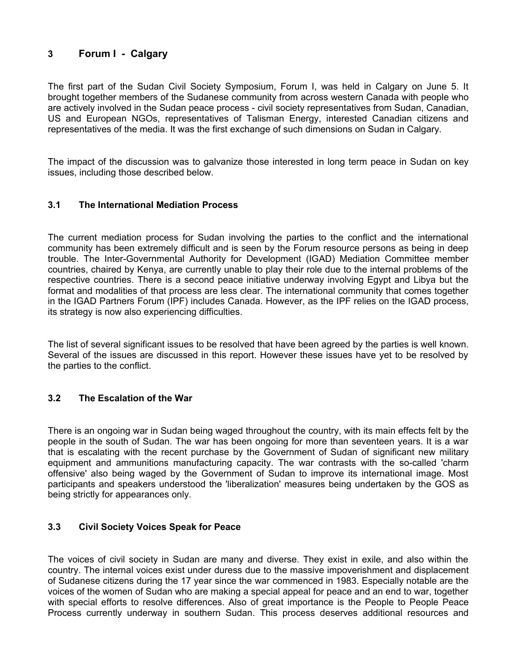# **3 Forum I - Calgary**

The first part of the Sudan Civil Society Symposium, Forum I, was held in Calgary on June 5. It brought together members of the Sudanese community from across western Canada with people who are actively involved in the Sudan peace process - civil society representatives from Sudan, Canadian, US and European NGOs, representatives of Talisman Energy, interested Canadian citizens and representatives of the media. It was the first exchange of such dimensions on Sudan in Calgary.

The impact of the discussion was to galvanize those interested in long term peace in Sudan on key issues, including those described below.

## **3.1 The International Mediation Process**

The current mediation process for Sudan involving the parties to the conflict and the international community has been extremely difficult and is seen by the Forum resource persons as being in deep trouble. The Inter-Governmental Authority for Development (IGAD) Mediation Committee member countries, chaired by Kenya, are currently unable to play their role due to the internal problems of the respective countries. There is a second peace initiative underway involving Egypt and Libya but the format and modalities of that process are less clear. The international community that comes together in the IGAD Partners Forum (IPF) includes Canada. However, as the IPF relies on the IGAD process, its strategy is now also experiencing difficulties.

The list of several significant issues to be resolved that have been agreed by the parties is well known. Several of the issues are discussed in this report. However these issues have yet to be resolved by the parties to the conflict.

## **3.2 The Escalation of the War**

There is an ongoing war in Sudan being waged throughout the country, with its main effects felt by the people in the south of Sudan. The war has been ongoing for more than seventeen years. It is a war that is escalating with the recent purchase by the Government of Sudan of significant new military equipment and ammunitions manufacturing capacity. The war contrasts with the so-called 'charm offensive' also being waged by the Government of Sudan to improve its international image. Most participants and speakers understood the 'liberalization' measures being undertaken by the GOS as being strictly for appearances only.

#### **3.3 Civil Society Voices Speak for Peace**

The voices of civil society in Sudan are many and diverse. They exist in exile, and also within the country. The internal voices exist under duress due to the massive impoverishment and displacement of Sudanese citizens during the 17 year since the war commenced in 1983. Especially notable are the voices of the women of Sudan who are making a special appeal for peace and an end to war, together with special efforts to resolve differences. Also of great importance is the People to People Peace Process currently underway in southern Sudan. This process deserves additional resources and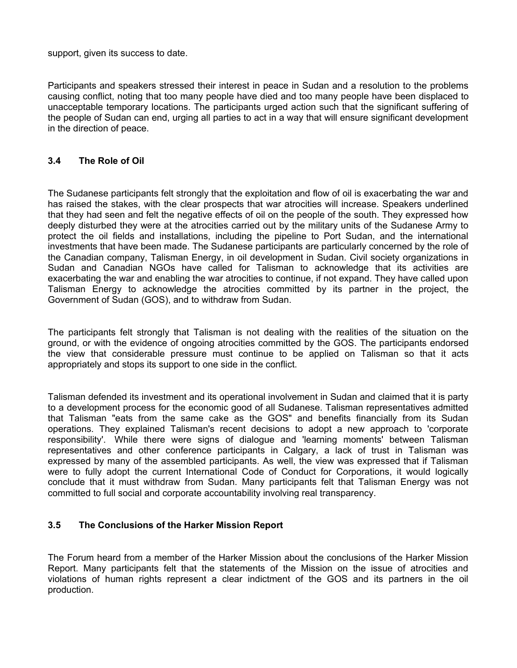support, given its success to date.

Participants and speakers stressed their interest in peace in Sudan and a resolution to the problems causing conflict, noting that too many people have died and too many people have been displaced to unacceptable temporary locations. The participants urged action such that the significant suffering of the people of Sudan can end, urging all parties to act in a way that will ensure significant development in the direction of peace.

### **3.4 The Role of Oil**

The Sudanese participants felt strongly that the exploitation and flow of oil is exacerbating the war and has raised the stakes, with the clear prospects that war atrocities will increase. Speakers underlined that they had seen and felt the negative effects of oil on the people of the south. They expressed how deeply disturbed they were at the atrocities carried out by the military units of the Sudanese Army to protect the oil fields and installations, including the pipeline to Port Sudan, and the international investments that have been made. The Sudanese participants are particularly concerned by the role of the Canadian company, Talisman Energy, in oil development in Sudan. Civil society organizations in Sudan and Canadian NGOs have called for Talisman to acknowledge that its activities are exacerbating the war and enabling the war atrocities to continue, if not expand. They have called upon Talisman Energy to acknowledge the atrocities committed by its partner in the project, the Government of Sudan (GOS), and to withdraw from Sudan.

The participants felt strongly that Talisman is not dealing with the realities of the situation on the ground, or with the evidence of ongoing atrocities committed by the GOS. The participants endorsed the view that considerable pressure must continue to be applied on Talisman so that it acts appropriately and stops its support to one side in the conflict.

Talisman defended its investment and its operational involvement in Sudan and claimed that it is party to a development process for the economic good of all Sudanese. Talisman representatives admitted that Talisman "eats from the same cake as the GOS" and benefits financially from its Sudan operations. They explained Talisman's recent decisions to adopt a new approach to 'corporate responsibility'. While there were signs of dialogue and 'learning moments' between Talisman representatives and other conference participants in Calgary, a lack of trust in Talisman was expressed by many of the assembled participants. As well, the view was expressed that if Talisman were to fully adopt the current International Code of Conduct for Corporations, it would logically conclude that it must withdraw from Sudan. Many participants felt that Talisman Energy was not committed to full social and corporate accountability involving real transparency.

#### **3.5 The Conclusions of the Harker Mission Report**

The Forum heard from a member of the Harker Mission about the conclusions of the Harker Mission Report. Many participants felt that the statements of the Mission on the issue of atrocities and violations of human rights represent a clear indictment of the GOS and its partners in the oil production.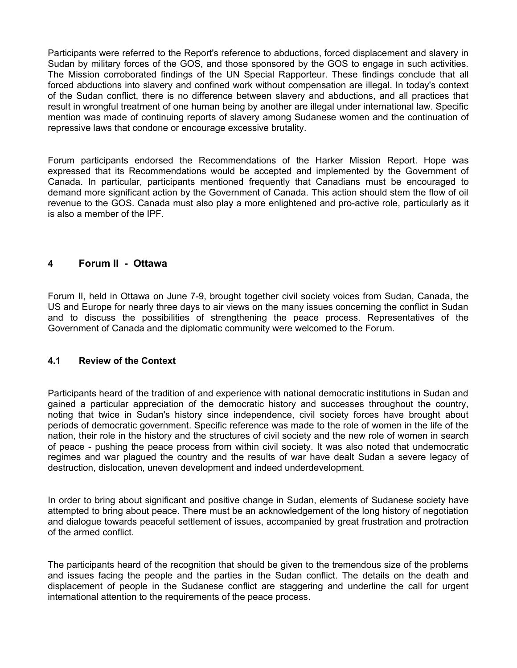Participants were referred to the Report's reference to abductions, forced displacement and slavery in Sudan by military forces of the GOS, and those sponsored by the GOS to engage in such activities. The Mission corroborated findings of the UN Special Rapporteur. These findings conclude that all forced abductions into slavery and confined work without compensation are illegal. In today's context of the Sudan conflict, there is no difference between slavery and abductions, and all practices that result in wrongful treatment of one human being by another are illegal under international law. Specific mention was made of continuing reports of slavery among Sudanese women and the continuation of repressive laws that condone or encourage excessive brutality.

Forum participants endorsed the Recommendations of the Harker Mission Report. Hope was expressed that its Recommendations would be accepted and implemented by the Government of Canada. In particular, participants mentioned frequently that Canadians must be encouraged to demand more significant action by the Government of Canada. This action should stem the flow of oil revenue to the GOS. Canada must also play a more enlightened and pro-active role, particularly as it is also a member of the IPF.

## **4 Forum II - Ottawa**

Forum II, held in Ottawa on June 7-9, brought together civil society voices from Sudan, Canada, the US and Europe for nearly three days to air views on the many issues concerning the conflict in Sudan and to discuss the possibilities of strengthening the peace process. Representatives of the Government of Canada and the diplomatic community were welcomed to the Forum.

#### **4.1 Review of the Context**

Participants heard of the tradition of and experience with national democratic institutions in Sudan and gained a particular appreciation of the democratic history and successes throughout the country, noting that twice in Sudan's history since independence, civil society forces have brought about periods of democratic government. Specific reference was made to the role of women in the life of the nation, their role in the history and the structures of civil society and the new role of women in search of peace - pushing the peace process from within civil society. It was also noted that undemocratic regimes and war plagued the country and the results of war have dealt Sudan a severe legacy of destruction, dislocation, uneven development and indeed underdevelopment.

In order to bring about significant and positive change in Sudan, elements of Sudanese society have attempted to bring about peace. There must be an acknowledgement of the long history of negotiation and dialogue towards peaceful settlement of issues, accompanied by great frustration and protraction of the armed conflict.

The participants heard of the recognition that should be given to the tremendous size of the problems and issues facing the people and the parties in the Sudan conflict. The details on the death and displacement of people in the Sudanese conflict are staggering and underline the call for urgent international attention to the requirements of the peace process.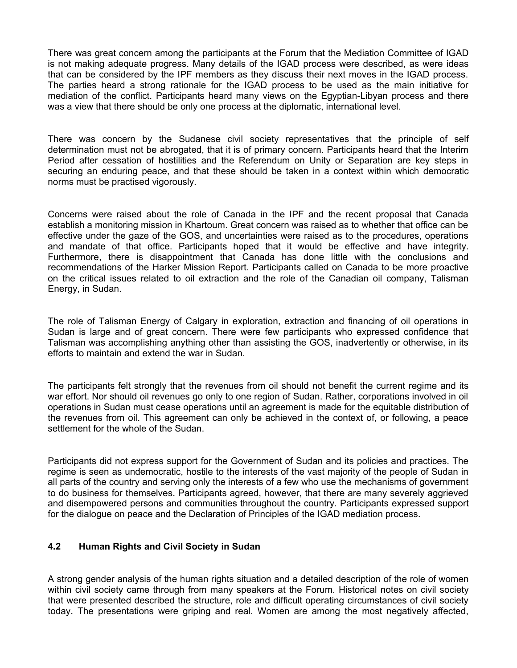There was great concern among the participants at the Forum that the Mediation Committee of IGAD is not making adequate progress. Many details of the IGAD process were described, as were ideas that can be considered by the IPF members as they discuss their next moves in the IGAD process. The parties heard a strong rationale for the IGAD process to be used as the main initiative for mediation of the conflict. Participants heard many views on the Egyptian-Libyan process and there was a view that there should be only one process at the diplomatic, international level.

There was concern by the Sudanese civil society representatives that the principle of self determination must not be abrogated, that it is of primary concern. Participants heard that the Interim Period after cessation of hostilities and the Referendum on Unity or Separation are key steps in securing an enduring peace, and that these should be taken in a context within which democratic norms must be practised vigorously.

Concerns were raised about the role of Canada in the IPF and the recent proposal that Canada establish a monitoring mission in Khartoum. Great concern was raised as to whether that office can be effective under the gaze of the GOS, and uncertainties were raised as to the procedures, operations and mandate of that office. Participants hoped that it would be effective and have integrity. Furthermore, there is disappointment that Canada has done little with the conclusions and recommendations of the Harker Mission Report. Participants called on Canada to be more proactive on the critical issues related to oil extraction and the role of the Canadian oil company, Talisman Energy, in Sudan.

The role of Talisman Energy of Calgary in exploration, extraction and financing of oil operations in Sudan is large and of great concern. There were few participants who expressed confidence that Talisman was accomplishing anything other than assisting the GOS, inadvertently or otherwise, in its efforts to maintain and extend the war in Sudan.

The participants felt strongly that the revenues from oil should not benefit the current regime and its war effort. Nor should oil revenues go only to one region of Sudan. Rather, corporations involved in oil operations in Sudan must cease operations until an agreement is made for the equitable distribution of the revenues from oil. This agreement can only be achieved in the context of, or following, a peace settlement for the whole of the Sudan.

Participants did not express support for the Government of Sudan and its policies and practices. The regime is seen as undemocratic, hostile to the interests of the vast majority of the people of Sudan in all parts of the country and serving only the interests of a few who use the mechanisms of government to do business for themselves. Participants agreed, however, that there are many severely aggrieved and disempowered persons and communities throughout the country. Participants expressed support for the dialogue on peace and the Declaration of Principles of the IGAD mediation process.

#### **4.2 Human Rights and Civil Society in Sudan**

A strong gender analysis of the human rights situation and a detailed description of the role of women within civil society came through from many speakers at the Forum. Historical notes on civil society that were presented described the structure, role and difficult operating circumstances of civil society today. The presentations were griping and real. Women are among the most negatively affected,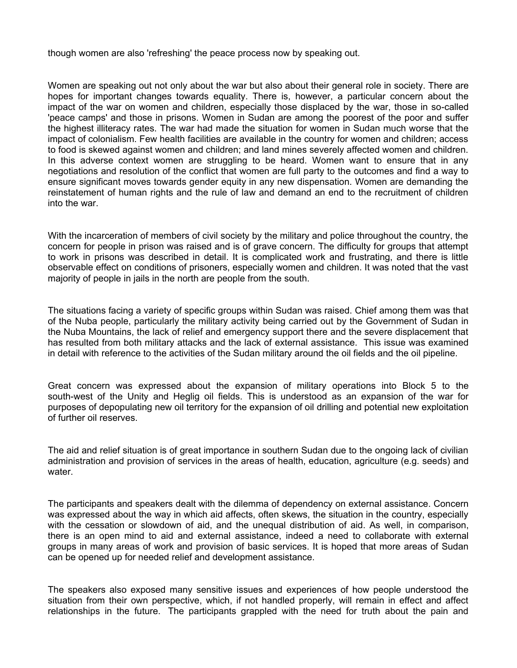though women are also 'refreshing' the peace process now by speaking out.

Women are speaking out not only about the war but also about their general role in society. There are hopes for important changes towards equality. There is, however, a particular concern about the impact of the war on women and children, especially those displaced by the war, those in so-called 'peace camps' and those in prisons. Women in Sudan are among the poorest of the poor and suffer the highest illiteracy rates. The war had made the situation for women in Sudan much worse that the impact of colonialism. Few health facilities are available in the country for women and children; access to food is skewed against women and children; and land mines severely affected women and children. In this adverse context women are struggling to be heard. Women want to ensure that in any negotiations and resolution of the conflict that women are full party to the outcomes and find a way to ensure significant moves towards gender equity in any new dispensation. Women are demanding the reinstatement of human rights and the rule of law and demand an end to the recruitment of children into the war.

With the incarceration of members of civil society by the military and police throughout the country, the concern for people in prison was raised and is of grave concern. The difficulty for groups that attempt to work in prisons was described in detail. It is complicated work and frustrating, and there is little observable effect on conditions of prisoners, especially women and children. It was noted that the vast majority of people in jails in the north are people from the south.

The situations facing a variety of specific groups within Sudan was raised. Chief among them was that of the Nuba people, particularly the military activity being carried out by the Government of Sudan in the Nuba Mountains, the lack of relief and emergency support there and the severe displacement that has resulted from both military attacks and the lack of external assistance. This issue was examined in detail with reference to the activities of the Sudan military around the oil fields and the oil pipeline.

Great concern was expressed about the expansion of military operations into Block 5 to the south-west of the Unity and Heglig oil fields. This is understood as an expansion of the war for purposes of depopulating new oil territory for the expansion of oil drilling and potential new exploitation of further oil reserves.

The aid and relief situation is of great importance in southern Sudan due to the ongoing lack of civilian administration and provision of services in the areas of health, education, agriculture (e.g. seeds) and water.

The participants and speakers dealt with the dilemma of dependency on external assistance. Concern was expressed about the way in which aid affects, often skews, the situation in the country, especially with the cessation or slowdown of aid, and the unequal distribution of aid. As well, in comparison, there is an open mind to aid and external assistance, indeed a need to collaborate with external groups in many areas of work and provision of basic services. It is hoped that more areas of Sudan can be opened up for needed relief and development assistance.

The speakers also exposed many sensitive issues and experiences of how people understood the situation from their own perspective, which, if not handled properly, will remain in effect and affect relationships in the future. The participants grappled with the need for truth about the pain and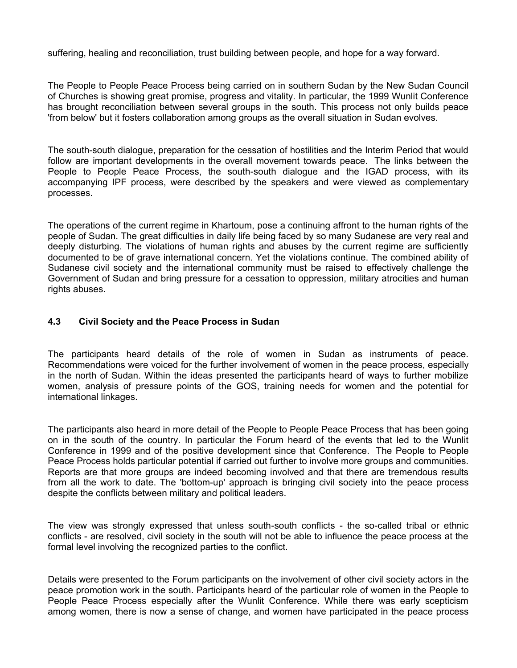suffering, healing and reconciliation, trust building between people, and hope for a way forward.

The People to People Peace Process being carried on in southern Sudan by the New Sudan Council of Churches is showing great promise, progress and vitality. In particular, the 1999 Wunlit Conference has brought reconciliation between several groups in the south. This process not only builds peace 'from below' but it fosters collaboration among groups as the overall situation in Sudan evolves.

The south-south dialogue, preparation for the cessation of hostilities and the Interim Period that would follow are important developments in the overall movement towards peace. The links between the People to People Peace Process, the south-south dialogue and the IGAD process, with its accompanying IPF process, were described by the speakers and were viewed as complementary processes.

The operations of the current regime in Khartoum, pose a continuing affront to the human rights of the people of Sudan. The great difficulties in daily life being faced by so many Sudanese are very real and deeply disturbing. The violations of human rights and abuses by the current regime are sufficiently documented to be of grave international concern. Yet the violations continue. The combined ability of Sudanese civil society and the international community must be raised to effectively challenge the Government of Sudan and bring pressure for a cessation to oppression, military atrocities and human rights abuses.

#### **4.3 Civil Society and the Peace Process in Sudan**

The participants heard details of the role of women in Sudan as instruments of peace. Recommendations were voiced for the further involvement of women in the peace process, especially in the north of Sudan. Within the ideas presented the participants heard of ways to further mobilize women, analysis of pressure points of the GOS, training needs for women and the potential for international linkages.

The participants also heard in more detail of the People to People Peace Process that has been going on in the south of the country. In particular the Forum heard of the events that led to the Wunlit Conference in 1999 and of the positive development since that Conference. The People to People Peace Process holds particular potential if carried out further to involve more groups and communities. Reports are that more groups are indeed becoming involved and that there are tremendous results from all the work to date. The 'bottom-up' approach is bringing civil society into the peace process despite the conflicts between military and political leaders.

The view was strongly expressed that unless south-south conflicts - the so-called tribal or ethnic conflicts - are resolved, civil society in the south will not be able to influence the peace process at the formal level involving the recognized parties to the conflict.

Details were presented to the Forum participants on the involvement of other civil society actors in the peace promotion work in the south. Participants heard of the particular role of women in the People to People Peace Process especially after the Wunlit Conference. While there was early scepticism among women, there is now a sense of change, and women have participated in the peace process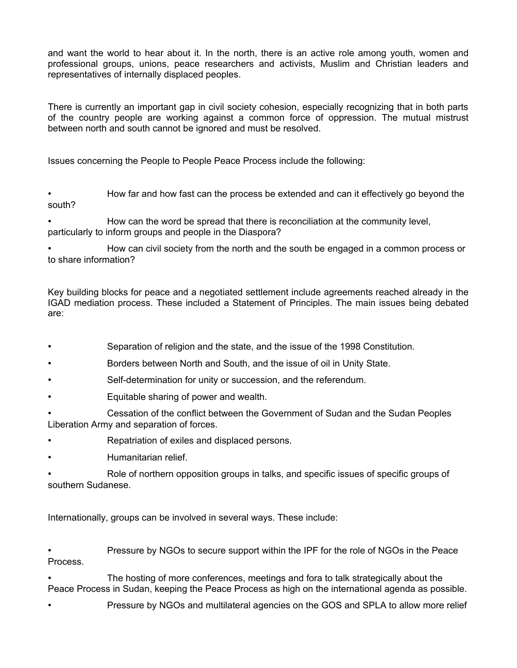and want the world to hear about it. In the north, there is an active role among youth, women and professional groups, unions, peace researchers and activists, Muslim and Christian leaders and representatives of internally displaced peoples.

There is currently an important gap in civil society cohesion, especially recognizing that in both parts of the country people are working against a common force of oppression. The mutual mistrust between north and south cannot be ignored and must be resolved.

Issues concerning the People to People Peace Process include the following:

• How far and how fast can the process be extended and can it effectively go beyond the south?

• How can the word be spread that there is reconciliation at the community level, particularly to inform groups and people in the Diaspora?

• How can civil society from the north and the south be engaged in a common process or to share information?

Key building blocks for peace and a negotiated settlement include agreements reached already in the IGAD mediation process. These included a Statement of Principles. The main issues being debated are:

- Separation of religion and the state, and the issue of the 1998 Constitution.
- Borders between North and South, and the issue of oil in Unity State.
- Self-determination for unity or succession, and the referendum.
- Equitable sharing of power and wealth.
- Cessation of the conflict between the Government of Sudan and the Sudan Peoples Liberation Army and separation of forces.
- Repatriation of exiles and displaced persons.
- Humanitarian relief.

• Role of northern opposition groups in talks, and specific issues of specific groups of southern Sudanese.

Internationally, groups can be involved in several ways. These include:

• Pressure by NGOs to secure support within the IPF for the role of NGOs in the Peace Process.

• The hosting of more conferences, meetings and fora to talk strategically about the Peace Process in Sudan, keeping the Peace Process as high on the international agenda as possible.

• Pressure by NGOs and multilateral agencies on the GOS and SPLA to allow more relief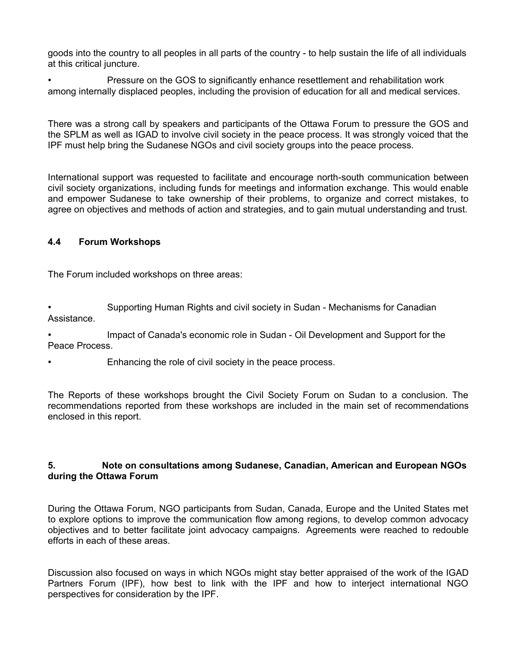goods into the country to all peoples in all parts of the country - to help sustain the life of all individuals at this critical juncture.

• Pressure on the GOS to significantly enhance resettlement and rehabilitation work among internally displaced peoples, including the provision of education for all and medical services.

There was a strong call by speakers and participants of the Ottawa Forum to pressure the GOS and the SPLM as well as IGAD to involve civil society in the peace process. It was strongly voiced that the IPF must help bring the Sudanese NGOs and civil society groups into the peace process.

International support was requested to facilitate and encourage north-south communication between civil society organizations, including funds for meetings and information exchange. This would enable and empower Sudanese to take ownership of their problems, to organize and correct mistakes, to agree on objectives and methods of action and strategies, and to gain mutual understanding and trust.

#### **4.4 Forum Workshops**

The Forum included workshops on three areas:

• Supporting Human Rights and civil society in Sudan - Mechanisms for Canadian Assistance.

• Impact of Canada's economic role in Sudan - Oil Development and Support for the Peace Process.

Enhancing the role of civil society in the peace process.

The Reports of these workshops brought the Civil Society Forum on Sudan to a conclusion. The recommendations reported from these workshops are included in the main set of recommendations enclosed in this report.

#### **5. Note on consultations among Sudanese, Canadian, American and European NGOs during the Ottawa Forum**

During the Ottawa Forum, NGO participants from Sudan, Canada, Europe and the United States met to explore options to improve the communication flow among regions, to develop common advocacy objectives and to better facilitate joint advocacy campaigns. Agreements were reached to redouble efforts in each of these areas.

Discussion also focused on ways in which NGOs might stay better appraised of the work of the IGAD Partners Forum (IPF), how best to link with the IPF and how to interject international NGO perspectives for consideration by the IPF.